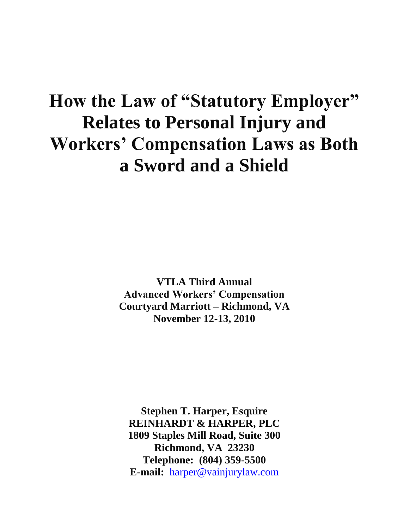# **How the Law of "Statutory Employer" Relates to Personal Injury and Workers' Compensation Laws as Both a Sword and a Shield**

**VTLA Third Annual Advanced Workers' Compensation Courtyard Marriott – Richmond, VA November 12-13, 2010**

**Stephen T. Harper, Esquire REINHARDT & HARPER, PLC 1809 Staples Mill Road, Suite 300 Richmond, VA 23230 Telephone: (804) 359-5500 E-mail:** [harper@vainjurylaw.com](mailto:harper@vainjurylaw.com)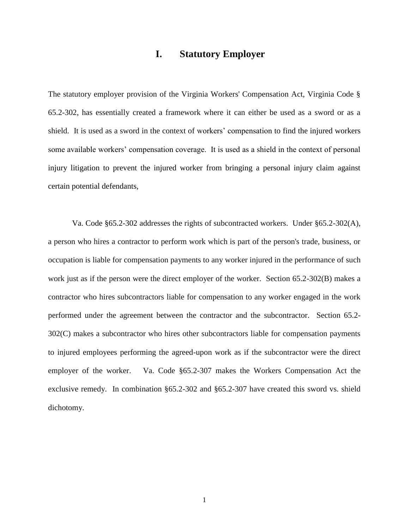## **I. Statutory Employer**

The statutory employer provision of the Virginia Workers' Compensation Act, Virginia Code § 65.2-302, has essentially created a framework where it can either be used as a sword or as a shield. It is used as a sword in the context of workers' compensation to find the injured workers some available workers' compensation coverage. It is used as a shield in the context of personal injury litigation to prevent the injured worker from bringing a personal injury claim against certain potential defendants,

Va. Code §65.2-302 addresses the rights of subcontracted workers. Under §65.2-302(A), a person who hires a contractor to perform work which is part of the person's trade, business, or occupation is liable for compensation payments to any worker injured in the performance of such work just as if the person were the direct employer of the worker. Section 65.2-302(B) makes a contractor who hires subcontractors liable for compensation to any worker engaged in the work performed under the agreement between the contractor and the subcontractor. Section 65.2- 302(C) makes a subcontractor who hires other subcontractors liable for compensation payments to injured employees performing the agreed-upon work as if the subcontractor were the direct employer of the worker. Va. Code §65.2-307 makes the Workers Compensation Act the exclusive remedy. In combination §65.2-302 and §65.2-307 have created this sword vs. shield dichotomy.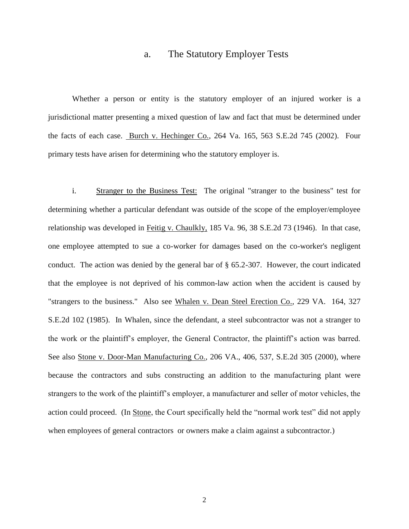## a. The Statutory Employer Tests

Whether a person or entity is the statutory employer of an injured worker is a jurisdictional matter presenting a mixed question of law and fact that must be determined under the facts of each case. Burch v. Hechinger Co., 264 Va. 165, 563 S.E.2d 745 (2002). Four primary tests have arisen for determining who the statutory employer is.

i. Stranger to the Business Test: The original "stranger to the business" test for determining whether a particular defendant was outside of the scope of the employer/employee relationship was developed in Feitig v. Chaulkly, 185 Va. 96, 38 S.E.2d 73 (1946). In that case, one employee attempted to sue a co-worker for damages based on the co-worker's negligent conduct. The action was denied by the general bar of  $\S$  65.2-307. However, the court indicated that the employee is not deprived of his common-law action when the accident is caused by "strangers to the business." Also see Whalen v. Dean Steel Erection Co., 229 VA. 164, 327 S.E.2d 102 (1985). In Whalen, since the defendant, a steel subcontractor was not a stranger to the work or the plaintiff's employer, the General Contractor, the plaintiff's action was barred. See also Stone v. Door-Man Manufacturing Co., 206 VA., 406, 537, S.E.2d 305 (2000), where because the contractors and subs constructing an addition to the manufacturing plant were strangers to the work of the plaintiff's employer, a manufacturer and seller of motor vehicles, the action could proceed. (In Stone, the Court specifically held the "normal work test" did not apply when employees of general contractors or owners make a claim against a subcontractor.)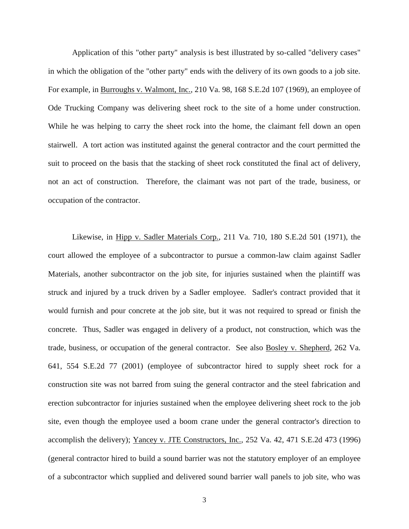Application of this "other party" analysis is best illustrated by so-called "delivery cases" in which the obligation of the "other party" ends with the delivery of its own goods to a job site. For example, in Burroughs v. Walmont, Inc., 210 Va. 98, 168 S.E.2d 107 (1969), an employee of Ode Trucking Company was delivering sheet rock to the site of a home under construction. While he was helping to carry the sheet rock into the home, the claimant fell down an open stairwell. A tort action was instituted against the general contractor and the court permitted the suit to proceed on the basis that the stacking of sheet rock constituted the final act of delivery, not an act of construction. Therefore, the claimant was not part of the trade, business, or occupation of the contractor.

Likewise, in Hipp v. Sadler Materials Corp., 211 Va. 710, 180 S.E.2d 501 (1971), the court allowed the employee of a subcontractor to pursue a common-law claim against Sadler Materials, another subcontractor on the job site, for injuries sustained when the plaintiff was struck and injured by a truck driven by a Sadler employee. Sadler's contract provided that it would furnish and pour concrete at the job site, but it was not required to spread or finish the concrete. Thus, Sadler was engaged in delivery of a product, not construction, which was the trade, business, or occupation of the general contractor. See also Bosley v. Shepherd, 262 Va. 641, 554 S.E.2d 77 (2001) (employee of subcontractor hired to supply sheet rock for a construction site was not barred from suing the general contractor and the steel fabrication and erection subcontractor for injuries sustained when the employee delivering sheet rock to the job site, even though the employee used a boom crane under the general contractor's direction to accomplish the delivery); Yancey v. JTE Constructors, Inc., 252 Va. 42, 471 S.E.2d 473 (1996) (general contractor hired to build a sound barrier was not the statutory employer of an employee of a subcontractor which supplied and delivered sound barrier wall panels to job site, who was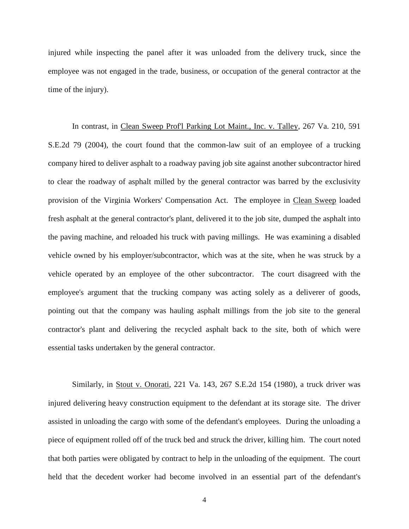injured while inspecting the panel after it was unloaded from the delivery truck, since the employee was not engaged in the trade, business, or occupation of the general contractor at the time of the injury).

In contrast, in Clean Sweep Prof'l Parking Lot Maint., Inc. v. Talley, 267 Va. 210, 591 S.E.2d 79 (2004), the court found that the common-law suit of an employee of a trucking company hired to deliver asphalt to a roadway paving job site against another subcontractor hired to clear the roadway of asphalt milled by the general contractor was barred by the exclusivity provision of the Virginia Workers' Compensation Act. The employee in Clean Sweep loaded fresh asphalt at the general contractor's plant, delivered it to the job site, dumped the asphalt into the paving machine, and reloaded his truck with paving millings. He was examining a disabled vehicle owned by his employer/subcontractor, which was at the site, when he was struck by a vehicle operated by an employee of the other subcontractor. The court disagreed with the employee's argument that the trucking company was acting solely as a deliverer of goods, pointing out that the company was hauling asphalt millings from the job site to the general contractor's plant and delivering the recycled asphalt back to the site, both of which were essential tasks undertaken by the general contractor.

Similarly, in Stout v. Onorati, 221 Va. 143, 267 S.E.2d 154 (1980), a truck driver was injured delivering heavy construction equipment to the defendant at its storage site. The driver assisted in unloading the cargo with some of the defendant's employees. During the unloading a piece of equipment rolled off of the truck bed and struck the driver, killing him. The court noted that both parties were obligated by contract to help in the unloading of the equipment. The court held that the decedent worker had become involved in an essential part of the defendant's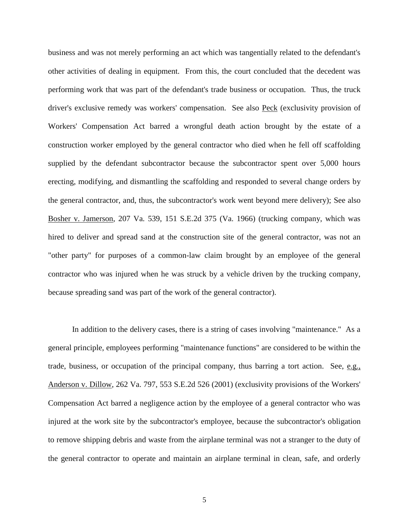business and was not merely performing an act which was tangentially related to the defendant's other activities of dealing in equipment. From this, the court concluded that the decedent was performing work that was part of the defendant's trade business or occupation. Thus, the truck driver's exclusive remedy was workers' compensation. See also Peck (exclusivity provision of Workers' Compensation Act barred a wrongful death action brought by the estate of a construction worker employed by the general contractor who died when he fell off scaffolding supplied by the defendant subcontractor because the subcontractor spent over 5,000 hours erecting, modifying, and dismantling the scaffolding and responded to several change orders by the general contractor, and, thus, the subcontractor's work went beyond mere delivery); See also Bosher v. Jamerson, 207 Va. 539, 151 S.E.2d 375 (Va. 1966) (trucking company, which was hired to deliver and spread sand at the construction site of the general contractor, was not an "other party" for purposes of a common-law claim brought by an employee of the general contractor who was injured when he was struck by a vehicle driven by the trucking company, because spreading sand was part of the work of the general contractor).

In addition to the delivery cases, there is a string of cases involving "maintenance." As a general principle, employees performing "maintenance functions" are considered to be within the trade, business, or occupation of the principal company, thus barring a tort action. See, e.g., Anderson v. Dillow, 262 Va. 797, 553 S.E.2d 526 (2001) (exclusivity provisions of the Workers' Compensation Act barred a negligence action by the employee of a general contractor who was injured at the work site by the subcontractor's employee, because the subcontractor's obligation to remove shipping debris and waste from the airplane terminal was not a stranger to the duty of the general contractor to operate and maintain an airplane terminal in clean, safe, and orderly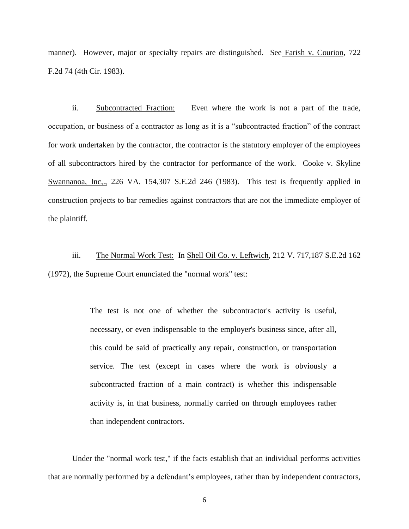manner). However, major or specialty repairs are distinguished. See Farish v. Courion, 722 F.2d 74 (4th Cir. 1983).

ii. Subcontracted Fraction: Even where the work is not a part of the trade, occupation, or business of a contractor as long as it is a "subcontracted fraction" of the contract for work undertaken by the contractor, the contractor is the statutory employer of the employees of all subcontractors hired by the contractor for performance of the work. Cooke v. Skyline Swannanoa, Inc., 226 VA. 154,307 S.E.2d 246 (1983). This test is frequently applied in construction projects to bar remedies against contractors that are not the immediate employer of the plaintiff.

iii. The Normal Work Test: In Shell Oil Co. v. Leftwich, 212 V. 717,187 S.E.2d 162 (1972), the Supreme Court enunciated the "normal work" test:

> The test is not one of whether the subcontractor's activity is useful, necessary, or even indispensable to the employer's business since, after all, this could be said of practically any repair, construction, or transportation service. The test (except in cases where the work is obviously a subcontracted fraction of a main contract) is whether this indispensable activity is, in that business, normally carried on through employees rather than independent contractors.

Under the "normal work test," if the facts establish that an individual performs activities that are normally performed by a defendant's employees, rather than by independent contractors,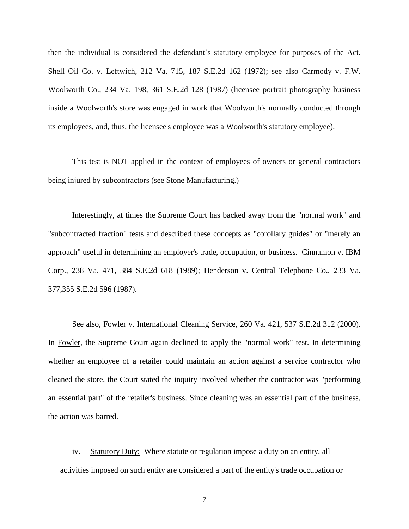then the individual is considered the defendant's statutory employee for purposes of the Act. Shell Oil Co. v. Leftwich, 212 Va. 715, 187 S.E.2d 162 (1972); see also Carmody v. F.W. Woolworth Co., 234 Va. 198, 361 S.E.2d 128 (1987) (licensee portrait photography business inside a Woolworth's store was engaged in work that Woolworth's normally conducted through its employees, and, thus, the licensee's employee was a Woolworth's statutory employee).

This test is NOT applied in the context of employees of owners or general contractors being injured by subcontractors (see Stone Manufacturing.)

Interestingly, at times the Supreme Court has backed away from the "normal work" and "subcontracted fraction" tests and described these concepts as "corollary guides" or "merely an approach" useful in determining an employer's trade, occupation, or business. Cinnamon v. IBM Corp., 238 Va. 471, 384 S.E.2d 618 (1989); Henderson v. Central Telephone Co., 233 Va. 377,355 S.E.2d 596 (1987).

See also, Fowler v. International Cleaning Service, 260 Va. 421, 537 S.E.2d 312 (2000). In Fowler, the Supreme Court again declined to apply the "normal work" test. In determining whether an employee of a retailer could maintain an action against a service contractor who cleaned the store, the Court stated the inquiry involved whether the contractor was "performing an essential part" of the retailer's business. Since cleaning was an essential part of the business, the action was barred.

iv. Statutory Duty: Where statute or regulation impose a duty on an entity, all activities imposed on such entity are considered a part of the entity's trade occupation or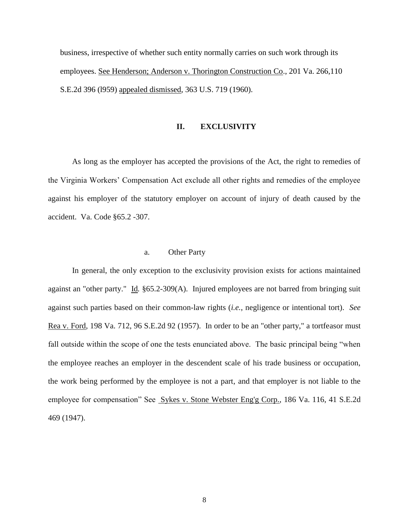business, irrespective of whether such entity normally carries on such work through its employees. See Henderson; Anderson v. Thorington Construction Co., 201 Va. 266,110 S.E.2d 396 (l959) appealed dismissed, 363 U.S. 719 (1960).

#### **II. EXCLUSIVITY**

As long as the employer has accepted the provisions of the Act, the right to remedies of the Virginia Workers' Compensation Act exclude all other rights and remedies of the employee against his employer of the statutory employer on account of injury of death caused by the accident. Va. Code §65.2 -307.

#### a. Other Party

In general, the only exception to the exclusivity provision exists for actions maintained against an "other party." Id. §65.2-309(A). Injured employees are not barred from bringing suit against such parties based on their common-law rights (*i.e.*, negligence or intentional tort). *See*  Rea v. Ford, 198 Va. 712, 96 S.E.2d 92 (1957). In order to be an "other party," a tortfeasor must fall outside within the scope of one the tests enunciated above. The basic principal being "when the employee reaches an employer in the descendent scale of his trade business or occupation, the work being performed by the employee is not a part, and that employer is not liable to the employee for compensation" See Sykes v. Stone Webster Eng'g Corp., 186 Va. 116, 41 S.E.2d 469 (1947).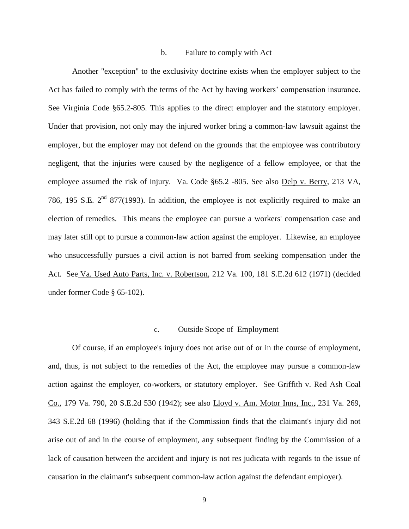#### b. Failure to comply with Act

Another "exception" to the exclusivity doctrine exists when the employer subject to the Act has failed to comply with the terms of the Act by having workers' compensation insurance. See Virginia Code §65.2-805. This applies to the direct employer and the statutory employer. Under that provision, not only may the injured worker bring a common-law lawsuit against the employer, but the employer may not defend on the grounds that the employee was contributory negligent, that the injuries were caused by the negligence of a fellow employee, or that the employee assumed the risk of injury. Va. Code §65.2 -805. See also Delp v. Berry, 213 VA, 786, 195 S.E.  $2<sup>nd</sup>$  877(1993). In addition, the employee is not explicitly required to make an election of remedies. This means the employee can pursue a workers' compensation case and may later still opt to pursue a common-law action against the employer. Likewise, an employee who unsuccessfully pursues a civil action is not barred from seeking compensation under the Act. See Va. Used Auto Parts, Inc. v. Robertson, 212 Va. 100, 181 S.E.2d 612 (1971) (decided under former Code § 65-102).

#### c. Outside Scope of Employment

Of course, if an employee's injury does not arise out of or in the course of employment, and, thus, is not subject to the remedies of the Act, the employee may pursue a common-law action against the employer, co-workers, or statutory employer. See Griffith v. Red Ash Coal Co., 179 Va. 790, 20 S.E.2d 530 (1942); see also Lloyd v. Am. Motor Inns, Inc., 231 Va. 269, 343 S.E.2d 68 (1996) (holding that if the Commission finds that the claimant's injury did not arise out of and in the course of employment, any subsequent finding by the Commission of a lack of causation between the accident and injury is not res judicata with regards to the issue of causation in the claimant's subsequent common-law action against the defendant employer).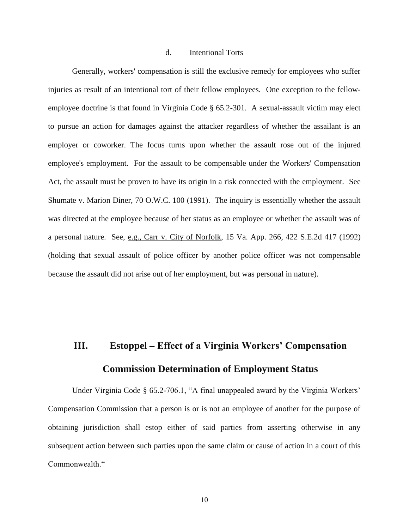#### d. Intentional Torts

Generally, workers' compensation is still the exclusive remedy for employees who suffer injuries as result of an intentional tort of their fellow employees. One exception to the fellowemployee doctrine is that found in Virginia Code § 65.2-301. A sexual-assault victim may elect to pursue an action for damages against the attacker regardless of whether the assailant is an employer or coworker. The focus turns upon whether the assault rose out of the injured employee's employment. For the assault to be compensable under the Workers' Compensation Act, the assault must be proven to have its origin in a risk connected with the employment. See Shumate v. Marion Diner, 70 O.W.C. 100 (1991). The inquiry is essentially whether the assault was directed at the employee because of her status as an employee or whether the assault was of a personal nature. See, e.g., Carr v. City of Norfolk, 15 Va. App. 266, 422 S.E.2d 417 (1992) (holding that sexual assault of police officer by another police officer was not compensable because the assault did not arise out of her employment, but was personal in nature).

## **III. Estoppel – Effect of a Virginia Workers' Compensation Commission Determination of Employment Status**

Under Virginia Code § 65.2-706.1, "A final unappealed award by the Virginia Workers' Compensation Commission that a person is or is not an employee of another for the purpose of obtaining jurisdiction shall estop either of said parties from asserting otherwise in any subsequent action between such parties upon the same claim or cause of action in a court of this Commonwealth "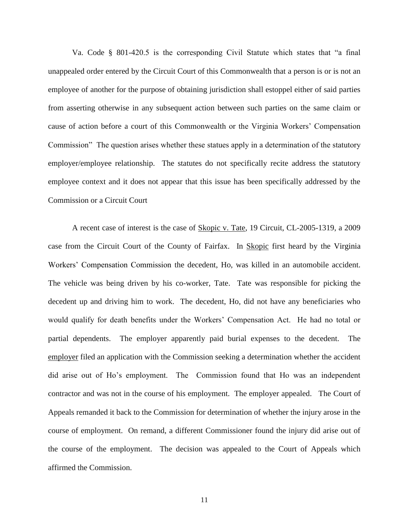Va. Code § 801-420.5 is the corresponding Civil Statute which states that "a final unappealed order entered by the Circuit Court of this Commonwealth that a person is or is not an employee of another for the purpose of obtaining jurisdiction shall estoppel either of said parties from asserting otherwise in any subsequent action between such parties on the same claim or cause of action before a court of this Commonwealth or the Virginia Workers' Compensation Commission" The question arises whether these statues apply in a determination of the statutory employer/employee relationship. The statutes do not specifically recite address the statutory employee context and it does not appear that this issue has been specifically addressed by the Commission or a Circuit Court

A recent case of interest is the case of Skopic v. Tate, 19 Circuit, CL-2005-1319, a 2009 case from the Circuit Court of the County of Fairfax. In Skopic first heard by the Virginia Workers' Compensation Commission the decedent, Ho, was killed in an automobile accident. The vehicle was being driven by his co-worker, Tate. Tate was responsible for picking the decedent up and driving him to work. The decedent, Ho, did not have any beneficiaries who would qualify for death benefits under the Workers' Compensation Act. He had no total or partial dependents. The employer apparently paid burial expenses to the decedent. The employer filed an application with the Commission seeking a determination whether the accident did arise out of Ho's employment. The Commission found that Ho was an independent contractor and was not in the course of his employment. The employer appealed. The Court of Appeals remanded it back to the Commission for determination of whether the injury arose in the course of employment. On remand, a different Commissioner found the injury did arise out of the course of the employment. The decision was appealed to the Court of Appeals which affirmed the Commission.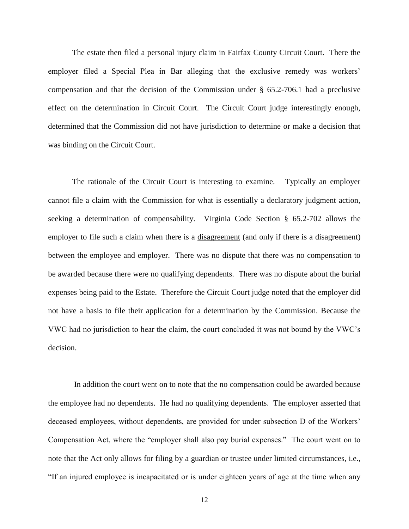The estate then filed a personal injury claim in Fairfax County Circuit Court. There the employer filed a Special Plea in Bar alleging that the exclusive remedy was workers' compensation and that the decision of the Commission under § 65.2-706.1 had a preclusive effect on the determination in Circuit Court. The Circuit Court judge interestingly enough, determined that the Commission did not have jurisdiction to determine or make a decision that was binding on the Circuit Court.

The rationale of the Circuit Court is interesting to examine. Typically an employer cannot file a claim with the Commission for what is essentially a declaratory judgment action, seeking a determination of compensability. Virginia Code Section § 65.2-702 allows the employer to file such a claim when there is a disagreement (and only if there is a disagreement) between the employee and employer. There was no dispute that there was no compensation to be awarded because there were no qualifying dependents. There was no dispute about the burial expenses being paid to the Estate. Therefore the Circuit Court judge noted that the employer did not have a basis to file their application for a determination by the Commission. Because the VWC had no jurisdiction to hear the claim, the court concluded it was not bound by the VWC's decision.

In addition the court went on to note that the no compensation could be awarded because the employee had no dependents. He had no qualifying dependents. The employer asserted that deceased employees, without dependents, are provided for under subsection D of the Workers' Compensation Act, where the "employer shall also pay burial expenses." The court went on to note that the Act only allows for filing by a guardian or trustee under limited circumstances, i.e., "If an injured employee is incapacitated or is under eighteen years of age at the time when any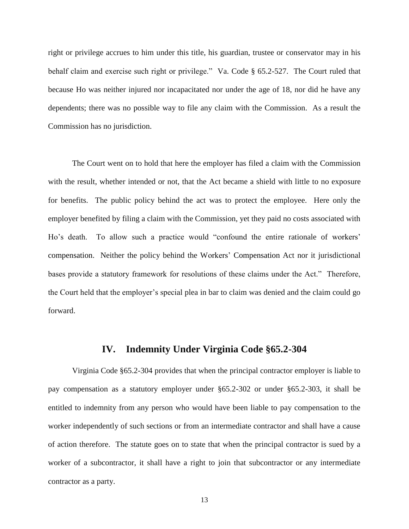right or privilege accrues to him under this title, his guardian, trustee or conservator may in his behalf claim and exercise such right or privilege." Va. Code § 65.2-527. The Court ruled that because Ho was neither injured nor incapacitated nor under the age of 18, nor did he have any dependents; there was no possible way to file any claim with the Commission. As a result the Commission has no jurisdiction.

The Court went on to hold that here the employer has filed a claim with the Commission with the result, whether intended or not, that the Act became a shield with little to no exposure for benefits. The public policy behind the act was to protect the employee. Here only the employer benefited by filing a claim with the Commission, yet they paid no costs associated with Ho's death. To allow such a practice would "confound the entire rationale of workers' compensation. Neither the policy behind the Workers' Compensation Act nor it jurisdictional bases provide a statutory framework for resolutions of these claims under the Act." Therefore, the Court held that the employer's special plea in bar to claim was denied and the claim could go forward.

## **IV. Indemnity Under Virginia Code §65.2-304**

Virginia Code §65.2-304 provides that when the principal contractor employer is liable to pay compensation as a statutory employer under §65.2-302 or under §65.2-303, it shall be entitled to indemnity from any person who would have been liable to pay compensation to the worker independently of such sections or from an intermediate contractor and shall have a cause of action therefore. The statute goes on to state that when the principal contractor is sued by a worker of a subcontractor, it shall have a right to join that subcontractor or any intermediate contractor as a party.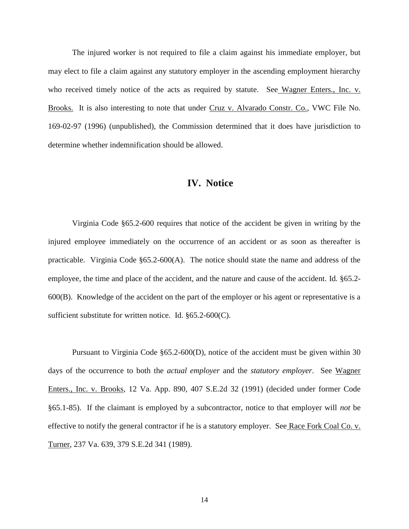The injured worker is not required to file a claim against his immediate employer, but may elect to file a claim against any statutory employer in the ascending employment hierarchy who received timely notice of the acts as required by statute. See Wagner Enters., Inc. v. Brooks. It is also interesting to note that under Cruz v. Alvarado Constr. Co., VWC File No. 169-02-97 (1996) (unpublished), the Commission determined that it does have jurisdiction to determine whether indemnification should be allowed.

### **IV. Notice**

Virginia Code §65.2-600 requires that notice of the accident be given in writing by the injured employee immediately on the occurrence of an accident or as soon as thereafter is practicable. Virginia Code §65.2-600(A). The notice should state the name and address of the employee, the time and place of the accident, and the nature and cause of the accident. Id*.* §65.2- 600(B). Knowledge of the accident on the part of the employer or his agent or representative is a sufficient substitute for written notice. Id. §65.2-600(C).

Pursuant to Virginia Code §65.2-600(D), notice of the accident must be given within 30 days of the occurrence to both the *actual employer* and the *statutory employer*. See Wagner Enters., Inc. v. Brooks, 12 Va. App. 890, 407 S.E.2d 32 (1991) (decided under former Code §65.1-85). If the claimant is employed by a subcontractor, notice to that employer will *not* be effective to notify the general contractor if he is a statutory employer. See Race Fork Coal Co. v. Turner, 237 Va. 639, 379 S.E.2d 341 (1989).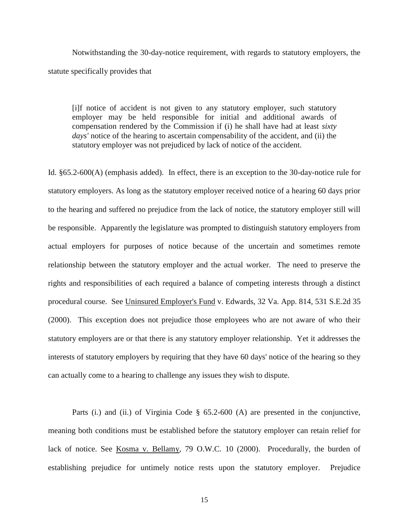Notwithstanding the 30-day-notice requirement, with regards to statutory employers, the statute specifically provides that

[i]f notice of accident is not given to any statutory employer, such statutory employer may be held responsible for initial and additional awards of compensation rendered by the Commission if (i) he shall have had at least *sixty*  days' notice of the hearing to ascertain compensability of the accident, and (ii) the statutory employer was not prejudiced by lack of notice of the accident.

Id. §65.2-600(A) (emphasis added). In effect, there is an exception to the 30-day-notice rule for statutory employers. As long as the statutory employer received notice of a hearing 60 days prior to the hearing and suffered no prejudice from the lack of notice, the statutory employer still will be responsible. Apparently the legislature was prompted to distinguish statutory employers from actual employers for purposes of notice because of the uncertain and sometimes remote relationship between the statutory employer and the actual worker. The need to preserve the rights and responsibilities of each required a balance of competing interests through a distinct procedural course.See Uninsured Employer's Fund v. Edwards, 32 Va. App. 814, 531 S.E.2d 35 (2000). This exception does not prejudice those employees who are not aware of who their statutory employers are or that there is any statutory employer relationship. Yet it addresses the interests of statutory employers by requiring that they have 60 days' notice of the hearing so they can actually come to a hearing to challenge any issues they wish to dispute.

Parts (i.) and (ii.) of Virginia Code § 65.2-600 (A) are presented in the conjunctive, meaning both conditions must be established before the statutory employer can retain relief for lack of notice. See Kosma v. Bellamy, 79 O.W.C. 10 (2000). Procedurally, the burden of establishing prejudice for untimely notice rests upon the statutory employer. Prejudice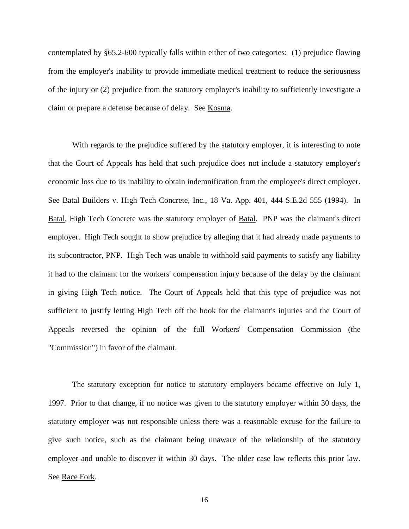contemplated by §65.2-600 typically falls within either of two categories: (1) prejudice flowing from the employer's inability to provide immediate medical treatment to reduce the seriousness of the injury or (2) prejudice from the statutory employer's inability to sufficiently investigate a claim or prepare a defense because of delay. See Kosma.

With regards to the prejudice suffered by the statutory employer, it is interesting to note that the Court of Appeals has held that such prejudice does not include a statutory employer's economic loss due to its inability to obtain indemnification from the employee's direct employer. See Batal Builders v. High Tech Concrete, Inc., 18 Va. App. 401, 444 S.E.2d 555 (1994). In Batal, High Tech Concrete was the statutory employer of Batal. PNP was the claimant's direct employer. High Tech sought to show prejudice by alleging that it had already made payments to its subcontractor, PNP. High Tech was unable to withhold said payments to satisfy any liability it had to the claimant for the workers' compensation injury because of the delay by the claimant in giving High Tech notice. The Court of Appeals held that this type of prejudice was not sufficient to justify letting High Tech off the hook for the claimant's injuries and the Court of Appeals reversed the opinion of the full Workers' Compensation Commission (the "Commission") in favor of the claimant.

The statutory exception for notice to statutory employers became effective on July 1, 1997. Prior to that change, if no notice was given to the statutory employer within 30 days, the statutory employer was not responsible unless there was a reasonable excuse for the failure to give such notice, such as the claimant being unaware of the relationship of the statutory employer and unable to discover it within 30 days. The older case law reflects this prior law. See Race Fork.